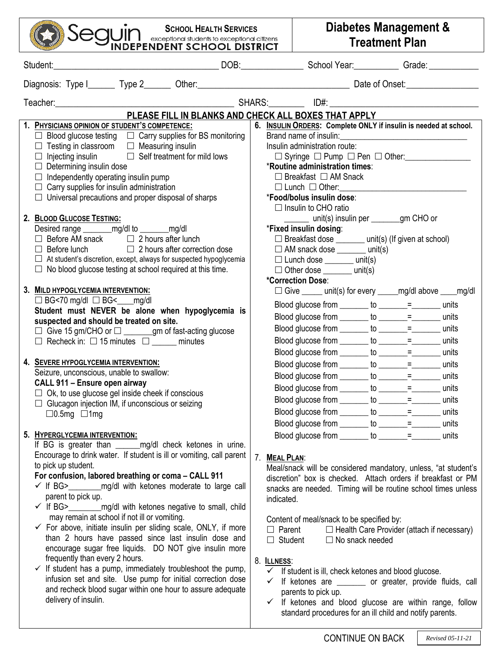| <b>SCHOOL HEALTH SERVICES</b>                                                                                             |                                                     | Diabetes Management &                                               |                                                                                              |  |
|---------------------------------------------------------------------------------------------------------------------------|-----------------------------------------------------|---------------------------------------------------------------------|----------------------------------------------------------------------------------------------|--|
| <b>UII</b> I exceptional students to exceptional citizens<br>INDEPENDENT SCHOOL DISTRICT                                  |                                                     | <b>Treatment Plan</b>                                               |                                                                                              |  |
| Student:                                                                                                                  |                                                     |                                                                     |                                                                                              |  |
|                                                                                                                           |                                                     |                                                                     |                                                                                              |  |
|                                                                                                                           |                                                     |                                                                     |                                                                                              |  |
| PLEASE FILL IN BLANKS AND CHECK ALL BOXES THAT APPLY                                                                      |                                                     |                                                                     |                                                                                              |  |
| 1. PHYSICIANS OPINION OF STUDENT'S COMPETENCE:                                                                            |                                                     | Brand name of insulin:                                              | 6. INSULIN ORDERS: Complete ONLY if insulin is needed at school.                             |  |
| $\Box$ Blood glucose testing $\Box$ Carry supplies for BS monitoring<br>Testing in classroom $\Box$ Measuring insulin     |                                                     | Insulin administration route:                                       |                                                                                              |  |
| $\Box$ Self treatment for mild lows<br>Injecting insulin                                                                  | $\Box$ Syringe $\Box$ Pump $\Box$ Pen $\Box$ Other: |                                                                     |                                                                                              |  |
| $\Box$ Determining insulin dose                                                                                           |                                                     | *Routine administration times:                                      |                                                                                              |  |
| Independently operating insulin pump<br>$\Box$                                                                            | $\Box$ Breakfast $\Box$ AM Snack                    |                                                                     |                                                                                              |  |
| Carry supplies for insulin administration<br>$\Box$                                                                       |                                                     | $\Box$ Lunch $\Box$ Other:                                          |                                                                                              |  |
| Universal precautions and proper disposal of sharps                                                                       |                                                     | *Food/bolus insulin dose:                                           |                                                                                              |  |
|                                                                                                                           |                                                     | $\Box$ Insulin to CHO ratio                                         |                                                                                              |  |
| 2. BLOOD GLUCOSE TESTING:                                                                                                 |                                                     | ____ unit(s) insulin per _______gm CHO or<br>*Fixed insulin dosing: |                                                                                              |  |
| Desired range _________ mg/dl to ________ mg/dl<br>Before AM snack $\Box$ 2 hours after lunch                             |                                                     | □ Breakfast dose _______ unit(s) (If given at school)               |                                                                                              |  |
| Before lunch<br>$\Box$ 2 hours after correction dose                                                                      |                                                     | $\Box$ AM snack dose ________ unit(s)                               |                                                                                              |  |
| $\Box$ At student's discretion, except, always for suspected hypoglycemia                                                 |                                                     | $\Box$ Lunch dose ________ unit(s)                                  |                                                                                              |  |
| No blood glucose testing at school required at this time.                                                                 |                                                     | $\Box$ Other dose ________ unit(s)                                  |                                                                                              |  |
|                                                                                                                           |                                                     | *Correction Dose:                                                   |                                                                                              |  |
| 3. MILD HYPOGLYCEMIA INTERVENTION:                                                                                        |                                                     |                                                                     | $\Box$ Give $\_\_\_\$ unit(s) for every $\_\_\_\$ mg/dl above $\_\_\_\$ mg/dl                |  |
| $\Box$ BG<70 mg/dl $\Box$ BG< ____ mg/dl                                                                                  |                                                     | Blood glucose from _______ to _______= _______ units                |                                                                                              |  |
| Student must NEVER be alone when hypoglycemia is<br>suspected and should be treated on site.                              |                                                     | Blood glucose from ________ to _______=______ units                 |                                                                                              |  |
|                                                                                                                           |                                                     | Blood glucose from ________ to _______= _______ units               |                                                                                              |  |
| $\Box$ Recheck in: $\Box$ 15 minutes $\Box$ _______ minutes                                                               |                                                     | Blood glucose from _______ to ______= ______ units                  |                                                                                              |  |
|                                                                                                                           |                                                     | Blood glucose from _______ to ______= ______ units                  |                                                                                              |  |
| 4. SEVERE HYPOGLYCEMIA INTERVENTION:                                                                                      |                                                     | Blood glucose from _______ to ______= ______ units                  |                                                                                              |  |
| Seizure, unconscious, unable to swallow:                                                                                  |                                                     |                                                                     | units                                                                                        |  |
| CALL 911 - Ensure open airway                                                                                             |                                                     | Blood glucose from _______ to _______=______ units                  |                                                                                              |  |
| $\Box$ Ok, to use glucose gel inside cheek if conscious                                                                   |                                                     |                                                                     | units                                                                                        |  |
| $\Box$ Glucagon injection IM, if unconscious or seizing<br>$\Box$ 0.5mg $\Box$ 1mg                                        |                                                     | Blood glucose from $\qquad$ to $\qquad$ =                           | units                                                                                        |  |
|                                                                                                                           |                                                     |                                                                     | units                                                                                        |  |
| 5. HYPERGLYCEMIA INTERVENTION:                                                                                            |                                                     |                                                                     | units                                                                                        |  |
| If BG is greater than _______mg/dl check ketones in urine.                                                                |                                                     |                                                                     |                                                                                              |  |
| Encourage to drink water. If student is ill or vomiting, call parent                                                      | 7. MEAL PLAN:                                       |                                                                     |                                                                                              |  |
| to pick up student.                                                                                                       |                                                     |                                                                     | Meal/snack will be considered mandatory, unless, "at student's                               |  |
| For confusion, labored breathing or coma - CALL 911                                                                       |                                                     |                                                                     | discretion" box is checked. Attach orders if breakfast or PM                                 |  |
| $\checkmark$ If BG> mg/dl with ketones moderate to large call                                                             |                                                     |                                                                     | snacks are needed. Timing will be routine school times unless                                |  |
| parent to pick up.<br>√ If BG>___________mg/dl with ketones negative to small, child                                      | indicated.                                          |                                                                     |                                                                                              |  |
| may remain at school if not ill or vomiting.                                                                              |                                                     | Content of meal/snack to be specified by:                           |                                                                                              |  |
| $\checkmark$ For above, initiate insulin per sliding scale, ONLY, if more                                                 |                                                     | $\Box$ Parent                                                       | $\Box$ Health Care Provider (attach if necessary)                                            |  |
| than 2 hours have passed since last insulin dose and                                                                      |                                                     | $\Box$ Student<br>$\Box$ No snack needed                            |                                                                                              |  |
| encourage sugar free liquids. DO NOT give insulin more                                                                    |                                                     |                                                                     |                                                                                              |  |
| frequently than every 2 hours.                                                                                            | 8. ILLNESS:                                         |                                                                     |                                                                                              |  |
| $\checkmark$ If student has a pump, immediately troubleshoot the pump,                                                    |                                                     | $\checkmark$ If student is ill, check ketones and blood glucose.    |                                                                                              |  |
| infusion set and site. Use pump for initial correction dose<br>and recheck blood sugar within one hour to assure adequate |                                                     |                                                                     | $\checkmark$ If ketones are $\frac{\checkmark}{\checkmark}$ or greater, provide fluids, call |  |
| delivery of insulin.                                                                                                      |                                                     | parents to pick up.                                                 |                                                                                              |  |
|                                                                                                                           |                                                     | standard procedures for an ill child and notify parents.            | $\checkmark$ If ketones and blood glucose are within range, follow                           |  |
|                                                                                                                           |                                                     |                                                                     |                                                                                              |  |
|                                                                                                                           |                                                     |                                                                     |                                                                                              |  |

Τ

Г

CONTINUE ON BACK *Revised 05-11-21*